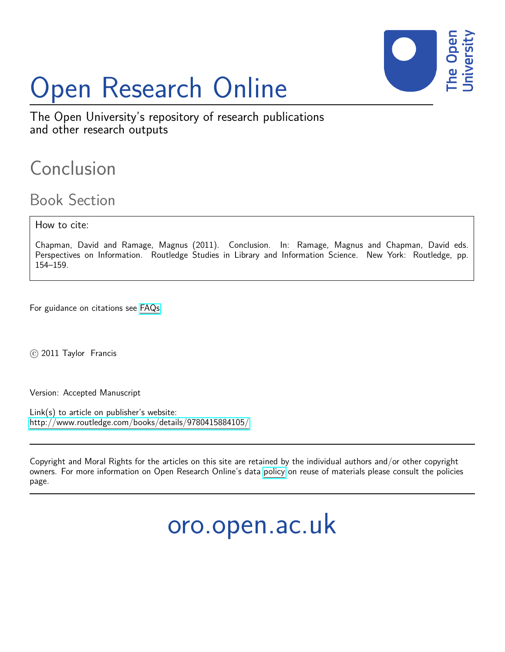

# Open Research Online

The Open University's repository of research publications and other research outputs

### Conclusion

Book Section

How to cite:

Chapman, David and Ramage, Magnus (2011). Conclusion. In: Ramage, Magnus and Chapman, David eds. Perspectives on Information. Routledge Studies in Library and Information Science. New York: Routledge, pp. 154–159.

For guidance on citations see [FAQs.](http://oro.open.ac.uk/help/helpfaq.html)

c 2011 Taylor Francis

Version: Accepted Manuscript

Link(s) to article on publisher's website: <http://www.routledge.com/books/details/9780415884105/>

Copyright and Moral Rights for the articles on this site are retained by the individual authors and/or other copyright owners. For more information on Open Research Online's data [policy](http://oro.open.ac.uk/policies.html) on reuse of materials please consult the policies page.

## oro.open.ac.uk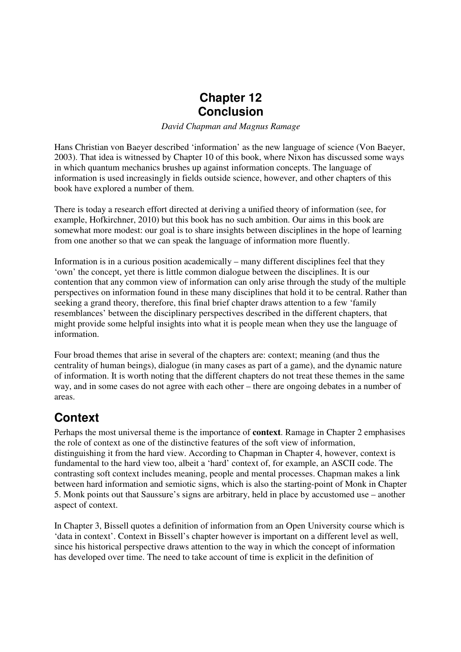#### **Chapter 12 Conclusion**

*David Chapman and Magnus Ramage* 

Hans Christian von Baeyer described 'information' as the new language of science (Von Baeyer, 2003). That idea is witnessed by Chapter 10 of this book, where Nixon has discussed some ways in which quantum mechanics brushes up against information concepts. The language of information is used increasingly in fields outside science, however, and other chapters of this book have explored a number of them.

There is today a research effort directed at deriving a unified theory of information (see, for example, Hofkirchner, 2010) but this book has no such ambition. Our aims in this book are somewhat more modest: our goal is to share insights between disciplines in the hope of learning from one another so that we can speak the language of information more fluently.

Information is in a curious position academically – many different disciplines feel that they 'own' the concept, yet there is little common dialogue between the disciplines. It is our contention that any common view of information can only arise through the study of the multiple perspectives on information found in these many disciplines that hold it to be central. Rather than seeking a grand theory, therefore, this final brief chapter draws attention to a few 'family resemblances' between the disciplinary perspectives described in the different chapters, that might provide some helpful insights into what it is people mean when they use the language of information.

Four broad themes that arise in several of the chapters are: context; meaning (and thus the centrality of human beings), dialogue (in many cases as part of a game), and the dynamic nature of information. It is worth noting that the different chapters do not treat these themes in the same way, and in some cases do not agree with each other – there are ongoing debates in a number of areas.

#### **Context**

Perhaps the most universal theme is the importance of **context**. Ramage in Chapter 2 emphasises the role of context as one of the distinctive features of the soft view of information, distinguishing it from the hard view. According to Chapman in Chapter 4, however, context is fundamental to the hard view too, albeit a 'hard' context of, for example, an ASCII code. The contrasting soft context includes meaning, people and mental processes. Chapman makes a link between hard information and semiotic signs, which is also the starting-point of Monk in Chapter 5. Monk points out that Saussure's signs are arbitrary, held in place by accustomed use – another aspect of context.

In Chapter 3, Bissell quotes a definition of information from an Open University course which is 'data in context'. Context in Bissell's chapter however is important on a different level as well, since his historical perspective draws attention to the way in which the concept of information has developed over time. The need to take account of time is explicit in the definition of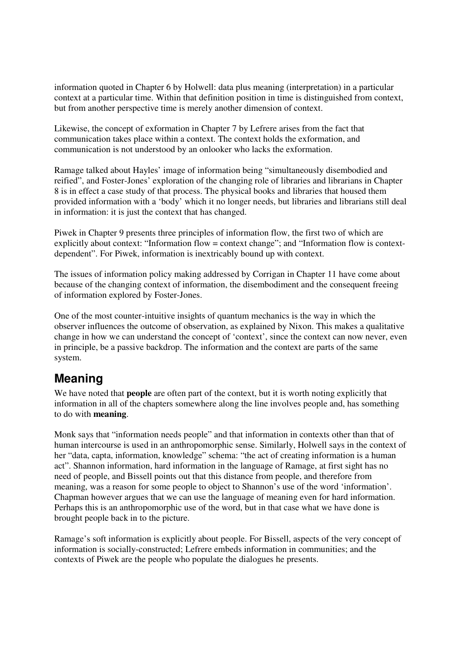information quoted in Chapter 6 by Holwell: data plus meaning (interpretation) in a particular context at a particular time. Within that definition position in time is distinguished from context, but from another perspective time is merely another dimension of context.

Likewise, the concept of exformation in Chapter 7 by Lefrere arises from the fact that communication takes place within a context. The context holds the exformation, and communication is not understood by an onlooker who lacks the exformation.

Ramage talked about Hayles' image of information being "simultaneously disembodied and reified", and Foster-Jones' exploration of the changing role of libraries and librarians in Chapter 8 is in effect a case study of that process. The physical books and libraries that housed them provided information with a 'body' which it no longer needs, but libraries and librarians still deal in information: it is just the context that has changed.

Piwek in Chapter 9 presents three principles of information flow, the first two of which are explicitly about context: "Information flow = context change"; and "Information flow is contextdependent". For Piwek, information is inextricably bound up with context.

The issues of information policy making addressed by Corrigan in Chapter 11 have come about because of the changing context of information, the disembodiment and the consequent freeing of information explored by Foster-Jones.

One of the most counter-intuitive insights of quantum mechanics is the way in which the observer influences the outcome of observation, as explained by Nixon. This makes a qualitative change in how we can understand the concept of 'context', since the context can now never, even in principle, be a passive backdrop. The information and the context are parts of the same system.

#### **Meaning**

We have noted that **people** are often part of the context, but it is worth noting explicitly that information in all of the chapters somewhere along the line involves people and, has something to do with **meaning**.

Monk says that "information needs people" and that information in contexts other than that of human intercourse is used in an anthropomorphic sense. Similarly, Holwell says in the context of her "data, capta, information, knowledge" schema: "the act of creating information is a human act". Shannon information, hard information in the language of Ramage, at first sight has no need of people, and Bissell points out that this distance from people, and therefore from meaning, was a reason for some people to object to Shannon's use of the word 'information'. Chapman however argues that we can use the language of meaning even for hard information. Perhaps this is an anthropomorphic use of the word, but in that case what we have done is brought people back in to the picture.

Ramage's soft information is explicitly about people. For Bissell, aspects of the very concept of information is socially-constructed; Lefrere embeds information in communities; and the contexts of Piwek are the people who populate the dialogues he presents.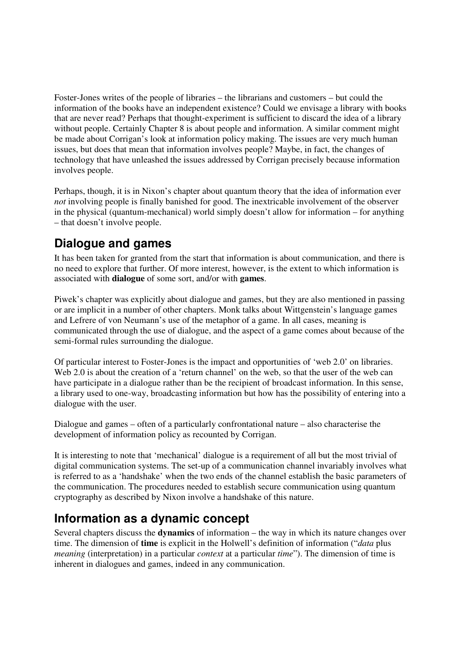Foster-Jones writes of the people of libraries – the librarians and customers – but could the information of the books have an independent existence? Could we envisage a library with books that are never read? Perhaps that thought-experiment is sufficient to discard the idea of a library without people. Certainly Chapter 8 is about people and information. A similar comment might be made about Corrigan's look at information policy making. The issues are very much human issues, but does that mean that information involves people? Maybe, in fact, the changes of technology that have unleashed the issues addressed by Corrigan precisely because information involves people.

Perhaps, though, it is in Nixon's chapter about quantum theory that the idea of information ever *not* involving people is finally banished for good. The inextricable involvement of the observer in the physical (quantum-mechanical) world simply doesn't allow for information – for anything – that doesn't involve people.

#### **Dialogue and games**

It has been taken for granted from the start that information is about communication, and there is no need to explore that further. Of more interest, however, is the extent to which information is associated with **dialogue** of some sort, and/or with **games**.

Piwek's chapter was explicitly about dialogue and games, but they are also mentioned in passing or are implicit in a number of other chapters. Monk talks about Wittgenstein's language games and Lefrere of von Neumann's use of the metaphor of a game. In all cases, meaning is communicated through the use of dialogue, and the aspect of a game comes about because of the semi-formal rules surrounding the dialogue.

Of particular interest to Foster-Jones is the impact and opportunities of 'web 2.0' on libraries. Web 2.0 is about the creation of a 'return channel' on the web, so that the user of the web can have participate in a dialogue rather than be the recipient of broadcast information. In this sense, a library used to one-way, broadcasting information but how has the possibility of entering into a dialogue with the user.

Dialogue and games – often of a particularly confrontational nature – also characterise the development of information policy as recounted by Corrigan.

It is interesting to note that 'mechanical' dialogue is a requirement of all but the most trivial of digital communication systems. The set-up of a communication channel invariably involves what is referred to as a 'handshake' when the two ends of the channel establish the basic parameters of the communication. The procedures needed to establish secure communication using quantum cryptography as described by Nixon involve a handshake of this nature.

#### **Information as a dynamic concept**

Several chapters discuss the **dynamics** of information – the way in which its nature changes over time. The dimension of **time** is explicit in the Holwell's definition of information ("*data* plus *meaning* (interpretation) in a particular *context* at a particular *time*"). The dimension of time is inherent in dialogues and games, indeed in any communication.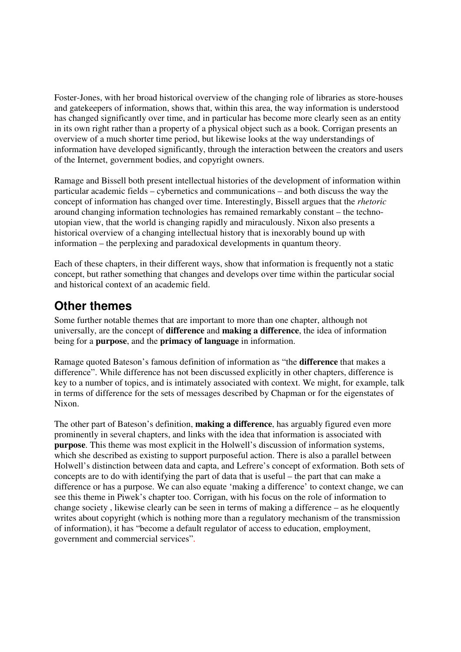Foster-Jones, with her broad historical overview of the changing role of libraries as store-houses and gatekeepers of information, shows that, within this area, the way information is understood has changed significantly over time, and in particular has become more clearly seen as an entity in its own right rather than a property of a physical object such as a book. Corrigan presents an overview of a much shorter time period, but likewise looks at the way understandings of information have developed significantly, through the interaction between the creators and users of the Internet, government bodies, and copyright owners.

Ramage and Bissell both present intellectual histories of the development of information within particular academic fields – cybernetics and communications – and both discuss the way the concept of information has changed over time. Interestingly, Bissell argues that the *rhetoric*  around changing information technologies has remained remarkably constant – the technoutopian view, that the world is changing rapidly and miraculously. Nixon also presents a historical overview of a changing intellectual history that is inexorably bound up with information – the perplexing and paradoxical developments in quantum theory.

Each of these chapters, in their different ways, show that information is frequently not a static concept, but rather something that changes and develops over time within the particular social and historical context of an academic field.

#### **Other themes**

Some further notable themes that are important to more than one chapter, although not universally, are the concept of **difference** and **making a difference**, the idea of information being for a **purpose**, and the **primacy of language** in information.

Ramage quoted Bateson's famous definition of information as "the **difference** that makes a difference". While difference has not been discussed explicitly in other chapters, difference is key to a number of topics, and is intimately associated with context. We might, for example, talk in terms of difference for the sets of messages described by Chapman or for the eigenstates of Nixon.

The other part of Bateson's definition, **making a difference**, has arguably figured even more prominently in several chapters, and links with the idea that information is associated with **purpose**. This theme was most explicit in the Holwell's discussion of information systems, which she described as existing to support purposeful action. There is also a parallel between Holwell's distinction between data and capta, and Lefrere's concept of exformation. Both sets of concepts are to do with identifying the part of data that is useful – the part that can make a difference or has a purpose. We can also equate 'making a difference' to context change, we can see this theme in Piwek's chapter too. Corrigan, with his focus on the role of information to change society , likewise clearly can be seen in terms of making a difference – as he eloquently writes about copyright (which is nothing more than a regulatory mechanism of the transmission of information), it has "become a default regulator of access to education, employment, government and commercial services".